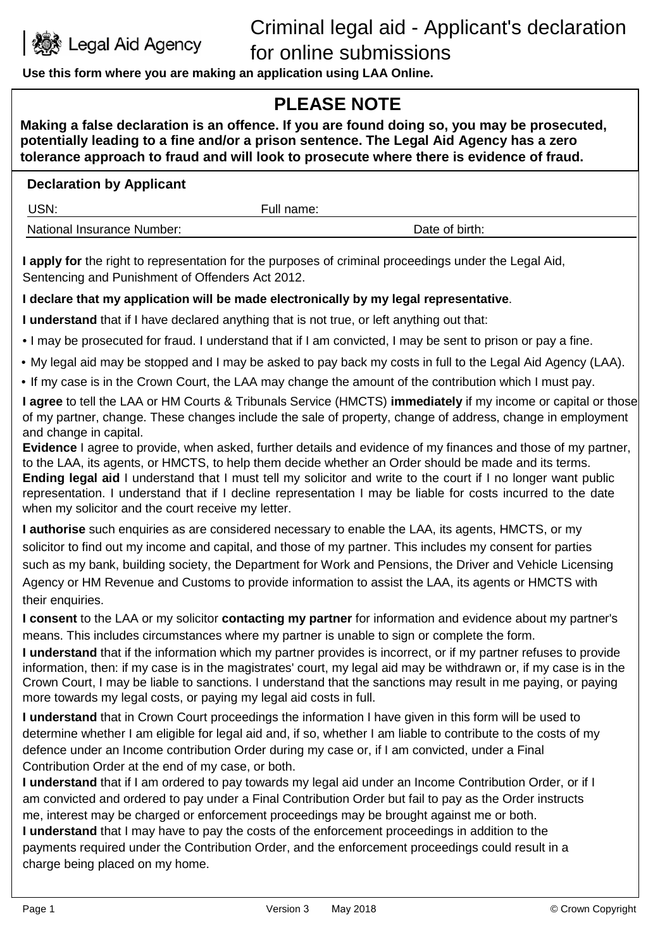

Legal Aid Agency

**Use this form where you are making an application using LAA Online.**

# **PLEASE NOTE**

**Making a false declaration is an offence. If you are found doing so, you may be prosecuted, potentially leading to a fine and/or a prison sentence. The Legal Aid Agency has a zero tolerance approach to fraud and will look to prosecute where there is evidence of fraud.**

| <b>Declaration by Applicant</b>                  |            |                                                                                                       |  |
|--------------------------------------------------|------------|-------------------------------------------------------------------------------------------------------|--|
| USN:                                             | Full name: |                                                                                                       |  |
| National Insurance Number:                       |            | Date of birth:                                                                                        |  |
| Sentencing and Punishment of Offenders Act 2012. |            | I apply for the right to representation for the purposes of criminal proceedings under the Legal Aid, |  |

# **I declare that my application will be made electronically by my legal representative**.

**I understand** that if I have declared anything that is not true, or left anything out that:

• I may be prosecuted for fraud. I understand that if I am convicted, I may be sent to prison or pay a fine.

- My legal aid may be stopped and I may be asked to pay back my costs in full to the Legal Aid Agency (LAA).
- If my case is in the Crown Court, the LAA may change the amount of the contribution which I must pay.

**I agree** to tell the LAA or HM Courts & Tribunals Service (HMCTS) **immediately** if my income or capital or those of my partner, change. These changes include the sale of property, change of address, change in employment and change in capital.

**Evidence** I agree to provide, when asked, further details and evidence of my finances and those of my partner, to the LAA, its agents, or HMCTS, to help them decide whether an Order should be made and its terms. **Ending legal aid** I understand that I must tell my solicitor and write to the court if I no longer want public representation. I understand that if I decline representation I may be liable for costs incurred to the date when my solicitor and the court receive my letter.

**I authorise** such enquiries as are considered necessary to enable the LAA, its agents, HMCTS, or my solicitor to find out my income and capital, and those of my partner. This includes my consent for parties such as my bank, building society, the Department for Work and Pensions, the Driver and Vehicle Licensing Agency or HM Revenue and Customs to provide information to assist the LAA, its agents or HMCTS with their enquiries.

**I consent** to the LAA or my solicitor **contacting my partner** for information and evidence about my partner's means. This includes circumstances where my partner is unable to sign or complete the form.

**I understand** that if the information which my partner provides is incorrect, or if my partner refuses to provide information, then: if my case is in the magistrates' court, my legal aid may be withdrawn or, if my case is in the Crown Court, I may be liable to sanctions. I understand that the sanctions may result in me paying, or paying more towards my legal costs, or paying my legal aid costs in full.

**I understand** that in Crown Court proceedings the information I have given in this form will be used to determine whether I am eligible for legal aid and, if so, whether I am liable to contribute to the costs of my defence under an Income contribution Order during my case or, if I am convicted, under a Final Contribution Order at the end of my case, or both.

**I understand** that if I am ordered to pay towards my legal aid under an Income Contribution Order, or if I am convicted and ordered to pay under a Final Contribution Order but fail to pay as the Order instructs me, interest may be charged or enforcement proceedings may be brought against me or both.

**I understand** that I may have to pay the costs of the enforcement proceedings in addition to the payments required under the Contribution Order, and the enforcement proceedings could result in a charge being placed on my home.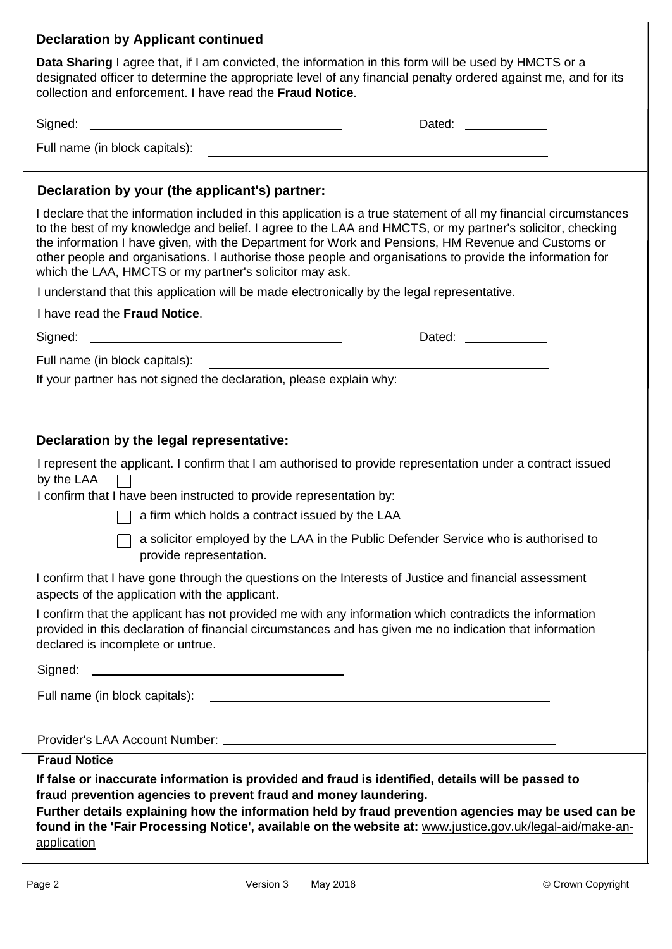# **Declaration by Applicant continued**

**Data Sharing** I agree that, if I am convicted, the information in this form will be used by HMCTS or a designated officer to determine the appropriate level of any financial penalty ordered against me, and for its collection and enforcement. I have read the **Fraud Notice**.

Signed: Dated: Dated: Dated: Dated: Dated: Dated: Dated: Dated: Dated: Dated: Dated: D

| Dated: |
|--------|
|        |

Full name (in block capitals):

# **Declaration by your (the applicant's) partner:**

I declare that the information included in this application is a true statement of all my financial circumstances to the best of my knowledge and belief. I agree to the LAA and HMCTS, or my partner's solicitor, checking the information I have given, with the Department for Work and Pensions, HM Revenue and Customs or other people and organisations. I authorise those people and organisations to provide the information for which the LAA, HMCTS or my partner's solicitor may ask.

I understand that this application will be made electronically by the legal representative.

| I have read the Fraud Notice. |  |
|-------------------------------|--|
|-------------------------------|--|

Signed: 2008. Compared: 2008. Compared: 2008. Compared: 2008. Compared: 2008. Compared: 2008. Compared: 2008. Compared: 2008. Compared: 2008. Compared: 2008. Compared: 2008. Compared: 2008. Compared: 2008. Compared: 2008.

Full name (in block capitals):

If your partner has not signed the declaration, please explain why:

# **Declaration by the legal representative:**

I represent the applicant. I confirm that I am authorised to provide representation under a contract issued by the LAA

I confirm that I have been instructed to provide representation by:

 $\Box$  a firm which holds a contract issued by the LAA

 $\Box$  a solicitor employed by the LAA in the Public Defender Service who is authorised to provide representation.

I confirm that I have gone through the questions on the Interests of Justice and financial assessment aspects of the application with the applicant.

I confirm that the applicant has not provided me with any information which contradicts the information provided in this declaration of financial circumstances and has given me no indication that information declared is incomplete or untrue.

Signed: \_\_

Full name (in block capitals):

Provider's LAA Account Number:

# **Fraud Notice**

**If false or inaccurate information is provided and fraud is identified, details will be passed to fraud prevention agencies to prevent fraud and money laundering.**

**Further details explaining how the information held by fraud prevention agencies may be used can be found in the 'Fair Processing Notice', available on the website at:** [www.justice.gov.uk/legal-aid/make-an](http://www.justice.gov.uk/legal-aid/make-an-application)[application](http://www.justice.gov.uk/legal-aid/make-an-application)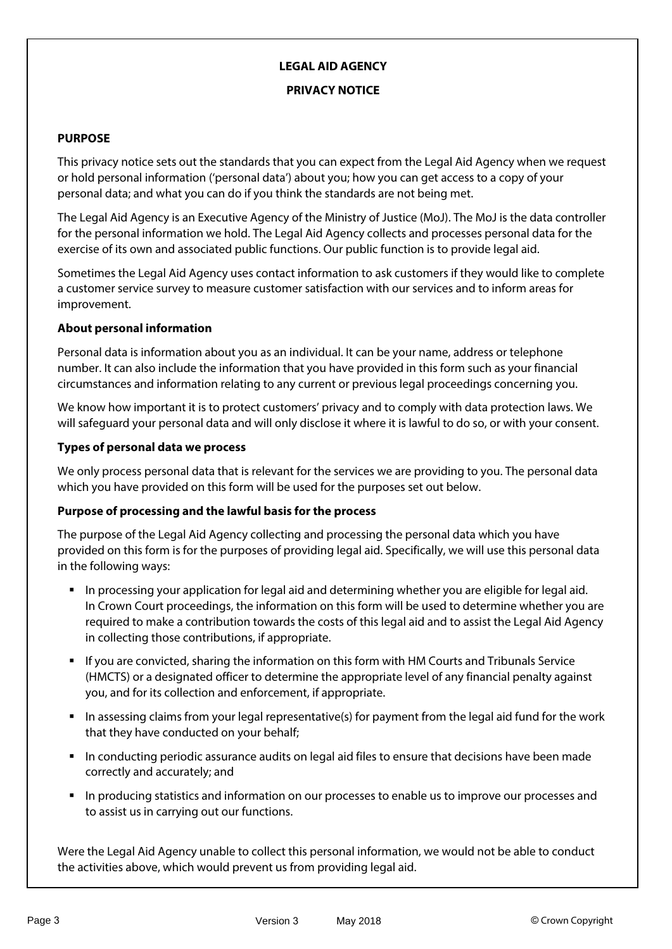# **LEGAL AID AGENCY**

#### **PRIVACY NOTICE**

#### **PURPOSE**

This privacy notice sets out the standards that you can expect from the Legal Aid Agency when we request or hold personal information ('personal data') about you; how you can get access to a copy of your personal data; and what you can do if you think the standards are not being met.

The Legal Aid Agency is an Executive Agency of the Ministry of Justice (MoJ). The MoJ is the data controller for the personal information we hold. The Legal Aid Agency collects and processes personal data for the exercise of its own and associated public functions. Our public function is to provide legal aid.

Sometimes the Legal Aid Agency uses contact information to ask customers if they would like to complete a customer service survey to measure customer satisfaction with our services and to inform areas for improvement.

#### **About personal information**

Personal data is information about you as an individual. It can be your name, address or telephone number. It can also include the information that you have provided in this form such as your financial circumstances and information relating to any current or previous legal proceedings concerning you.

We know how important it is to protect customers' privacy and to comply with data protection laws. We will safeguard your personal data and will only disclose it where it is lawful to do so, or with your consent.

## **Types of personal data we process**

We only process personal data that is relevant for the services we are providing to you. The personal data which you have provided on this form will be used for the purposes set out below.

#### **Purpose of processing and the lawful basis for the process**

The purpose of the Legal Aid Agency collecting and processing the personal data which you have provided on this form is for the purposes of providing legal aid. Specifically, we will use this personal data in the following ways:

- In processing your application for legal aid and determining whether you are eligible for legal aid. In Crown Court proceedings, the information on this form will be used to determine whether you are required to make a contribution towards the costs of this legal aid and to assist the Legal Aid Agency in collecting those contributions, if appropriate.
- If you are convicted, sharing the information on this form with HM Courts and Tribunals Service (HMCTS) or a designated officer to determine the appropriate level of any financial penalty against you, and for its collection and enforcement, if appropriate.
- In assessing claims from your legal representative(s) for payment from the legal aid fund for the work that they have conducted on your behalf;
- **In conducting periodic assurance audits on legal aid files to ensure that decisions have been made** correctly and accurately; and
- **In producing statistics and information on our processes to enable us to improve our processes and** to assist us in carrying out our functions.

Were the Legal Aid Agency unable to collect this personal information, we would not be able to conduct the activities above, which would prevent us from providing legal aid.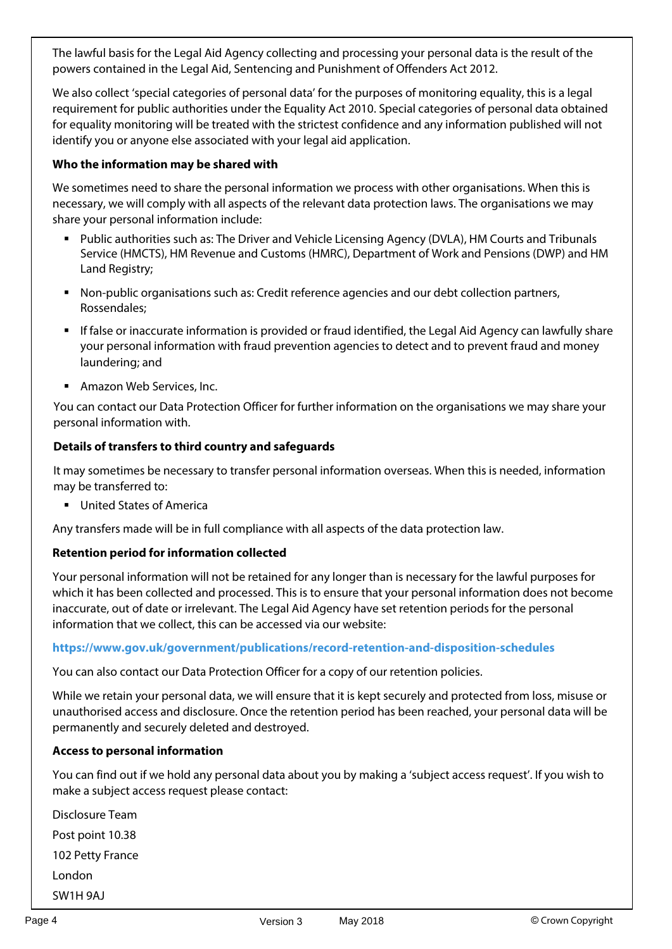The lawful basis for the Legal Aid Agency collecting and processing your personal data is the result of the powers contained in the Legal Aid, Sentencing and Punishment of Offenders Act 2012.

We also collect 'special categories of personal data' for the purposes of monitoring equality, this is a legal requirement for public authorities under the Equality Act 2010. Special categories of personal data obtained for equality monitoring will be treated with the strictest confidence and any information published will not identify you or anyone else associated with your legal aid application.

## **Who the information may be shared with**

We sometimes need to share the personal information we process with other organisations. When this is necessary, we will comply with all aspects of the relevant data protection laws. The organisations we may share your personal information include:

- Public authorities such as: The Driver and Vehicle Licensing Agency (DVLA), HM Courts and Tribunals Service (HMCTS), HM Revenue and Customs (HMRC), Department of Work and Pensions (DWP) and HM Land Registry;
- Non-public organisations such as: Credit reference agencies and our debt collection partners, Rossendales;
- If false or inaccurate information is provided or fraud identified, the Legal Aid Agency can lawfully share your personal information with fraud prevention agencies to detect and to prevent fraud and money laundering; and
- **Amazon Web Services, Inc.**

You can contact our Data Protection Officer for further information on the organisations we may share your personal information with.

## **Details of transfers to third country and safeguards**

It may sometimes be necessary to transfer personal information overseas. When this is needed, information may be transferred to:

**United States of America** 

Any transfers made will be in full compliance with all aspects of the data protection law.

# **Retention period for information collected**

Your personal information will not be retained for any longer than is necessary for the lawful purposes for which it has been collected and processed. This is to ensure that your personal information does not become inaccurate, out of date or irrelevant. The Legal Aid Agency have set retention periods for the personal information that we collect, this can be accessed via our website:

#### **<https://www.gov.uk/government/publications/record-retention-and-disposition-schedules>**

You can also contact our Data Protection Officer for a copy of our retention policies.

While we retain your personal data, we will ensure that it is kept securely and protected from loss, misuse or unauthorised access and disclosure. Once the retention period has been reached, your personal data will be permanently and securely deleted and destroyed.

#### **Access to personal information**

You can find out if we hold any personal data about you by making a 'subject access request'. If you wish to make a subject access request please contact:

Disclosure Team Post point 10.38 102 Petty France London SW1H 9AJ